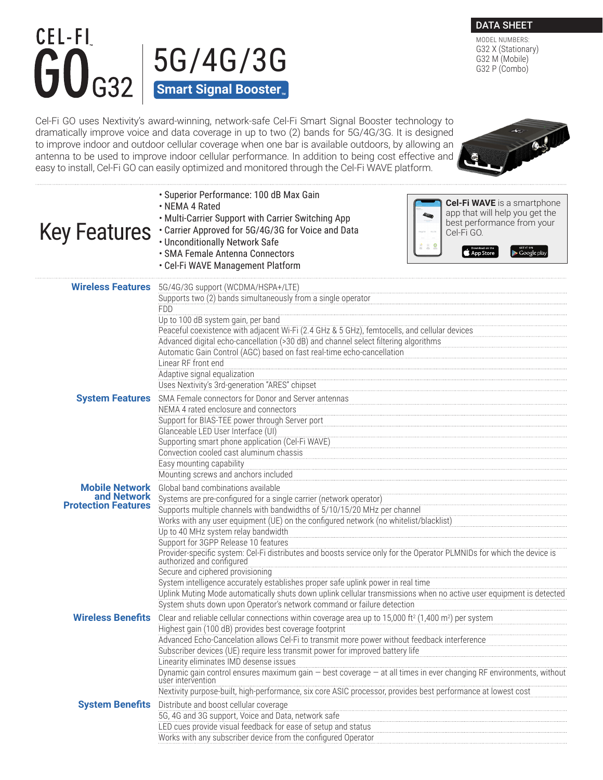## CEL-FI  $56/46/36$  G32 X (Stational G32  $\times$  (Stational G32 M (Mobile) **Smart Signal Booster<sub>™</sub>**

Cel‐Fi GO uses Nextivity's award-winning, network-safe Cel-Fi Smart Signal Booster technology to dramatically improve voice and data coverage in up to two (2) bands for 5G/4G/3G. It is designed to improve indoor and outdoor cellular coverage when one bar is available outdoors, by allowing an antenna to be used to improve indoor cellular performance. In addition to being cost effective and easy to install, Cel-Fi GO can easily optimized and monitored through the Cel-Fi WAVE platform.

|                                           | · Superior Performance: 100 dB Max Gain<br><b>Cel-Fi WAVE</b> is a smartphone<br>• NEMA 4 Rated<br>app that will help you get the<br>. Multi-Carrier Support with Carrier Switching App<br>best performance from your<br>Key Features : Carrier Approved for 5G/4G/3G for Voice and Data<br>Cel-Fi GO.<br>• Unconditionally Network Safe<br>22 S<br>· SMA Female Antenna Connectors<br>App Store<br>∙ Google play<br>• Cel-Fi WAVE Management Platform                                                                                                                                                                                                                                                                                                                                                                                                            |  |  |  |  |  |
|-------------------------------------------|-------------------------------------------------------------------------------------------------------------------------------------------------------------------------------------------------------------------------------------------------------------------------------------------------------------------------------------------------------------------------------------------------------------------------------------------------------------------------------------------------------------------------------------------------------------------------------------------------------------------------------------------------------------------------------------------------------------------------------------------------------------------------------------------------------------------------------------------------------------------|--|--|--|--|--|
|                                           | <b>Wireless Features</b> 5G/4G/3G support (WCDMA/HSPA+/LTE)<br>Supports two (2) bands simultaneously from a single operator<br><b>FDD</b><br>Up to 100 dB system gain, per band<br>Peaceful coexistence with adjacent Wi-Fi (2.4 GHz & 5 GHz), femtocells, and cellular devices<br>Advanced digital echo-cancellation (>30 dB) and channel select filtering algorithms<br>Automatic Gain Control (AGC) based on fast real-time echo-cancellation<br>Linear RF front end<br>Adaptive signal equalization<br>Uses Nextivity's 3rd-generation "ARES" chipset                                                                                                                                                                                                                                                                                                         |  |  |  |  |  |
| <b>System Features</b>                    | SMA Female connectors for Donor and Server antennas<br>NEMA 4 rated enclosure and connectors<br>Support for BIAS-TEE power through Server port<br>Glanceable LED User Interface (UI)<br>Supporting smart phone application (Cel-Fi WAVE)<br>Convection cooled cast aluminum chassis<br>Easy mounting capability<br>Mounting screws and anchors included                                                                                                                                                                                                                                                                                                                                                                                                                                                                                                           |  |  |  |  |  |
| and Network<br><b>Protection Features</b> | <b>Mobile Network</b> Global band combinations available<br>Systems are pre-configured for a single carrier (network operator)<br>Supports multiple channels with bandwidths of 5/10/15/20 MHz per channel<br>Works with any user equipment (UE) on the configured network (no whitelist/blacklist)<br>Up to 40 MHz system relay bandwidth<br>Support for 3GPP Release 10 features<br>Provider-specific system: Cel-Fi distributes and boosts service only for the Operator PLMNIDs for which the device is<br>authorized and configured<br>Secure and ciphered provisioning<br>System intelligence accurately establishes proper safe uplink power in real time<br>Uplink Muting Mode automatically shuts down uplink cellular transmissions when no active user equipment is detected<br>System shuts down upon Operator's network command or failure detection |  |  |  |  |  |
| <b>Wireless Benefits</b>                  | Clear and reliable cellular connections within coverage area up to 15,000 ft <sup>2</sup> (1,400 m <sup>2</sup> ) per system<br>Highest gain (100 dB) provides best coverage footprint<br>Advanced Echo-Cancelation allows Cel-Fi to transmit more power without feedback interference<br>Subscriber devices (UE) require less transmit power for improved battery life<br>Linearity eliminates IMD desense issues<br><u>Ennemity emimines into acactive issues</u><br>Dynamic gain control ensures maximum gain – best coverage – at all times in ever changing RF environments, without<br>user intervention<br>Nextivity purpose-built, high-performance, six core ASIC processor, provides best performance at lowest cost                                                                                                                                    |  |  |  |  |  |
|                                           | <b>System Benefits</b> Distribute and boost cellular coverage<br>5G, 4G and 3G support, Voice and Data, network safe<br>LED cues provide visual feedback for ease of setup and status<br>Works with any subscriber device from the configured Operator                                                                                                                                                                                                                                                                                                                                                                                                                                                                                                                                                                                                            |  |  |  |  |  |

 $\bigcirc$ 



MODEL NUMBERS: G32 X (Stationary)<br>G32 M (Mobile)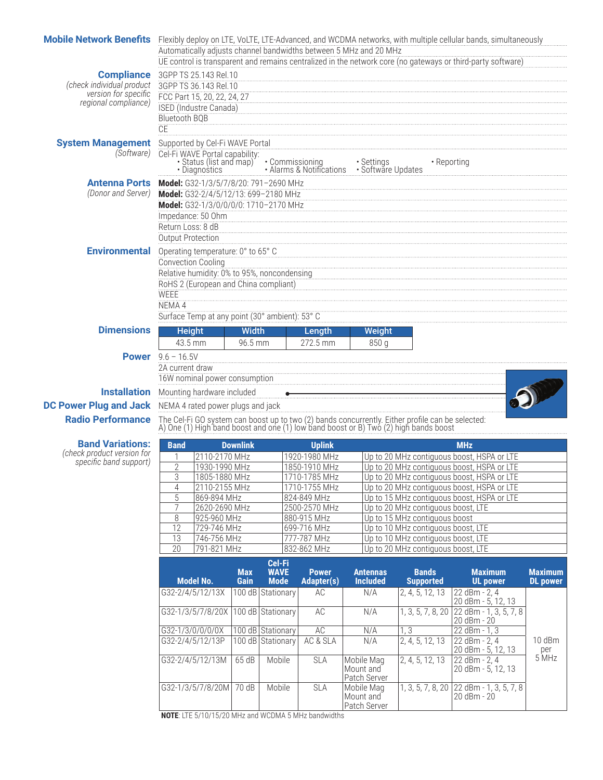| Mobile Network Benefits Flexibly deploy on LTE, VoLTE, LTE-Advanced, and WCDMA networks, with multiple cellular bands, simultaneously |                                                                                                                                                                                                                             |                                          |                  |                                  |                                                   | Automatically adjusts channel bandwidths between 5 MHz and 20 MHz                                                                                                                     |                                                                          | UE control is transparent and remains centralized in the network core (no gateways or third-party software) |                 |
|---------------------------------------------------------------------------------------------------------------------------------------|-----------------------------------------------------------------------------------------------------------------------------------------------------------------------------------------------------------------------------|------------------------------------------|------------------|----------------------------------|---------------------------------------------------|---------------------------------------------------------------------------------------------------------------------------------------------------------------------------------------|--------------------------------------------------------------------------|-------------------------------------------------------------------------------------------------------------|-----------------|
| <b>Compliance</b><br>(check individual product<br>version for specific<br>regional compliance)                                        | 3GPP TS 25.143 Rel.10<br>3GPP TS 36.143 Rel.10<br>FCC Part 15, 20, 22, 24, 27<br><b>ISED</b> (Industre Canada)<br><b>Bluetooth BQB</b><br>CE                                                                                |                                          |                  |                                  |                                                   |                                                                                                                                                                                       |                                                                          |                                                                                                             |                 |
| <b>System Management</b><br>(Software)                                                                                                | Supported by Cel-Fi WAVE Portal<br>Cel-Fi WAVE Portal capability:                                                                                                                                                           | · Status (list and map)<br>· Diagnostics |                  |                                  |                                                   | • Commissioning • Settings<br>• Alarms & Notifications • Software Updates                                                                                                             | • Reporting                                                              |                                                                                                             |                 |
| (Donor and Server)                                                                                                                    | <b>Antenna Ports Model:</b> G32-1/3/5/7/8/20: 791-2690 MHz<br>Model: G32-2/4/5/12/13: 699-2180 MHz<br>Model: G32-1/3/0/0/0/0: 1710-2170 MHz<br>Impedance: 50 Ohm<br>Return Loss: 8 dB<br><b>Output Protection</b>           |                                          |                  |                                  |                                                   |                                                                                                                                                                                       |                                                                          |                                                                                                             |                 |
| <b>Environmental</b>                                                                                                                  | Operating temperature: 0° to 65° C<br><b>Convection Cooling</b><br>Relative humidity: 0% to 95%, noncondensing<br>RoHS 2 (European and China compliant)<br>WEEE<br>NEMA 4<br>Surface Temp at any point (30° ambient): 53° C |                                          |                  |                                  |                                                   |                                                                                                                                                                                       |                                                                          |                                                                                                             |                 |
| <b>Dimensions</b>                                                                                                                     | <b>Height</b><br>43.5 mm                                                                                                                                                                                                    |                                          | Width<br>96.5 mm |                                  | Length<br>272.5 mm                                | Weight<br>850 g                                                                                                                                                                       |                                                                          |                                                                                                             |                 |
|                                                                                                                                       | <b>Power</b> $9.6 - 16.5V$<br>2A current draw<br>16W nominal power consumption                                                                                                                                              |                                          |                  |                                  |                                                   |                                                                                                                                                                                       |                                                                          |                                                                                                             |                 |
| <b>Installation</b> Mounting hardware included                                                                                        |                                                                                                                                                                                                                             |                                          |                  |                                  |                                                   |                                                                                                                                                                                       |                                                                          |                                                                                                             |                 |
| <b>DC Power Plug and Jack</b> NEMA 4 rated power plugs and jack                                                                       |                                                                                                                                                                                                                             |                                          |                  |                                  |                                                   |                                                                                                                                                                                       |                                                                          |                                                                                                             |                 |
| <b>Radio Performance</b>                                                                                                              |                                                                                                                                                                                                                             |                                          |                  |                                  |                                                   | The Cel-Fi GO system can boost up to two (2) bands concurrently. Either profile can be selected: A) One (1) High band boost and one (1) low band boost or B) Two (2) high bands boost |                                                                          |                                                                                                             |                 |
| <b>Band Variations:</b>                                                                                                               | <b>Band</b>                                                                                                                                                                                                                 |                                          | <b>Downlink</b>  |                                  | <b>Uplink</b>                                     |                                                                                                                                                                                       |                                                                          | <b>MHz</b>                                                                                                  |                 |
| (check product version for<br>specific band support)                                                                                  | 1                                                                                                                                                                                                                           | 2110-2170 MHz                            |                  |                                  | 1920-1980 MHz                                     |                                                                                                                                                                                       |                                                                          | Up to 20 MHz contiguous boost, HSPA or LTE                                                                  |                 |
|                                                                                                                                       | $\overline{2}$<br>3                                                                                                                                                                                                         | 1930-1990 MHz<br>1805-1880 MHz           |                  |                                  | 1850-1910 MHz<br>1710-1785 MHz                    |                                                                                                                                                                                       |                                                                          | Up to 20 MHz contiguous boost, HSPA or LTE<br>Up to 20 MHz contiguous boost, HSPA or LTE                    |                 |
|                                                                                                                                       | $\overline{4}$                                                                                                                                                                                                              | 2110-2155 MHz                            |                  |                                  | 1710-1755 MHz                                     |                                                                                                                                                                                       |                                                                          | Up to 20 MHz contiguous boost, HSPA or LTE                                                                  |                 |
|                                                                                                                                       | 5<br>$\overline{7}$                                                                                                                                                                                                         | 869-894 MHz<br>2620-2690 MHz             |                  |                                  | 824-849 MHz<br>2500-2570 MHz                      |                                                                                                                                                                                       | Up to 20 MHz contiguous boost, LTE                                       | Up to 15 MHz contiguous boost, HSPA or LTE                                                                  |                 |
|                                                                                                                                       | 8                                                                                                                                                                                                                           | 925-960 MHz                              |                  |                                  | 880-915 MHz                                       |                                                                                                                                                                                       | Up to 15 MHz contiguous boost                                            |                                                                                                             |                 |
|                                                                                                                                       | 12<br>$\overline{13}$                                                                                                                                                                                                       | 729-746 MHz<br>746-756 MHz               |                  |                                  | 699-716 MHz<br>777-787 MHz                        |                                                                                                                                                                                       | Up to 10 MHz contiguous boost, LTE<br>Up to 10 MHz contiguous boost, LTE |                                                                                                             |                 |
|                                                                                                                                       | $\overline{20}$                                                                                                                                                                                                             | 791-821 MHz                              |                  |                                  | 832-862 MHz<br>Up to 20 MHz contiguous boost, LTE |                                                                                                                                                                                       |                                                                          |                                                                                                             |                 |
|                                                                                                                                       | <b>Model No.</b>                                                                                                                                                                                                            |                                          | <b>Max</b>       | Cel-Fi<br><b>WAVE</b>            | <b>Power</b>                                      | <b>Antennas</b>                                                                                                                                                                       | <b>Bands</b>                                                             | <b>Maximum</b>                                                                                              | <b>Maximum</b>  |
|                                                                                                                                       | G32-2/4/5/12/13X                                                                                                                                                                                                            |                                          | Gain             | <b>Mode</b><br>100 dB Stationary | <b>Adapter(s)</b><br>AC                           | <b>Included</b><br>N/A                                                                                                                                                                | <b>Supported</b><br>2, 4, 5, 12, 13                                      | <b>UL power</b><br>22 dBm - 2, 4                                                                            | <b>DL</b> power |
|                                                                                                                                       | G32-1/3/5/7/8/20X                                                                                                                                                                                                           |                                          |                  | 100 dB Stationary                | AC                                                | N/A                                                                                                                                                                                   | 1, 3, 5, 7, 8, 20                                                        | 20 dBm - 5, 12, 13<br>22 dBm - 1, 3, 5, 7, 8<br>20 dBm - 20                                                 |                 |
|                                                                                                                                       | G32-1/3/0/0/0/0X                                                                                                                                                                                                            |                                          |                  | 100 dB Stationary                | AC                                                | N/A                                                                                                                                                                                   | 1, 3                                                                     | 22 dBm - 1, 3                                                                                               |                 |
|                                                                                                                                       | G32-2/4/5/12/13P                                                                                                                                                                                                            |                                          |                  | 100 dB Stationary                | AC & SLA                                          | N/A                                                                                                                                                                                   | 2, 4, 5, 12, 13                                                          | $\sqrt{22}$ dBm - 2, 4<br>20 dBm - 5, 12, 13                                                                | 10 dBm          |
|                                                                                                                                       | G32-2/4/5/12/13M                                                                                                                                                                                                            |                                          | 65 dB            | Mobile                           | SLA                                               | Mobile Mag<br>Mount and<br>Patch Server                                                                                                                                               | 2, 4, 5, 12, 13                                                          | 22 dBm - 2, 4<br>20 dBm - 5, 12, 13                                                                         | per<br>5 MHz    |
|                                                                                                                                       | G32-1/3/5/7/8/20M                                                                                                                                                                                                           |                                          | 70 dB            | Mobile                           | SLA                                               | Mobile Mag<br>Mount and<br>Patch Server                                                                                                                                               | 1, 3, 5, 7, 8, 20                                                        | 22 dBm - 1, 3, 5, 7, 8<br>20 dBm - 20                                                                       |                 |

**NOTE**: LTE 5/10/15/20 MHz and WCDMA 5 MHz bandwidths